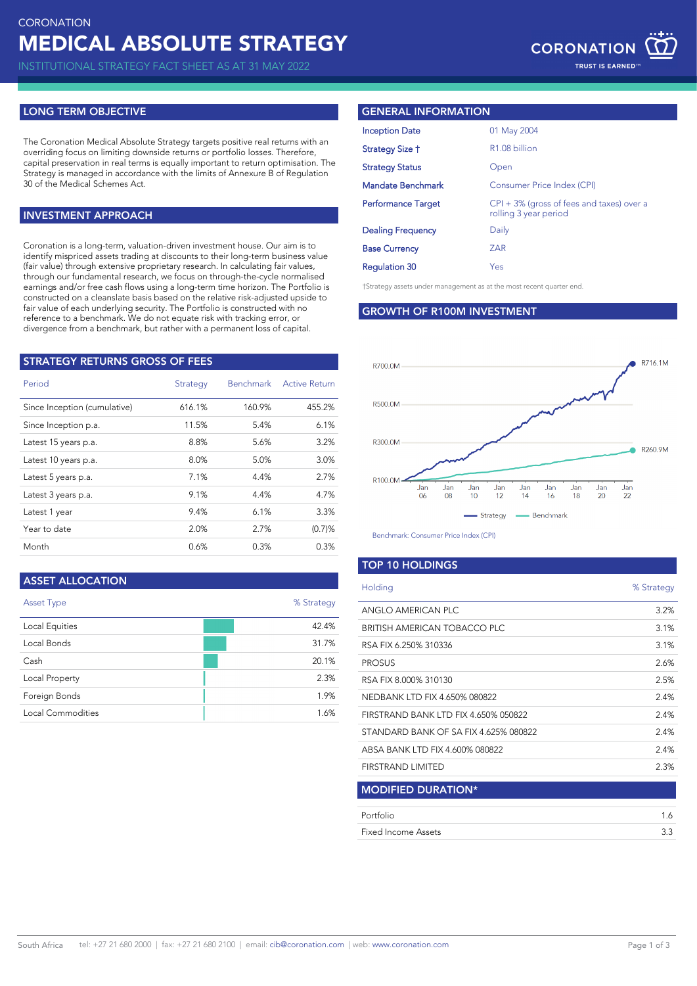INSTITUTIONAL STRATEGY FACT SHEET AS AT 31 MAY 2022

## **LONG TERM OBJECTIVE**

The Coronation Medical Absolute Strategy targets positive real returns with an overriding focus on limiting downside returns or portfolio losses. Therefore, capital preservation in real terms is equally important to return optimisation. The Strategy is managed in accordance with the limits of Annexure B of Regulation 30 of the Medical Schemes Act.

# **INVESTMENT APPROACH**

Coronation is a long-term, valuation-driven investment house. Our aim is to identify mispriced assets trading at discounts to their long-term business value (fair value) through extensive proprietary research. In calculating fair values, through our fundamental research, we focus on through-the-cycle normalised earnings and/or free cash flows using a long-term time horizon. The Portfolio is constructed on a cleanslate basis based on the relative risk-adjusted upside to fair value of each underlying security. The Portfolio is constructed with no reference to a benchmark. We do not equate risk with tracking error, or divergence from a benchmark, but rather with a permanent loss of capital.

| <b>STRATEGY RETURNS GROSS OF FEES</b> |          |                  |                      |  |  |  |
|---------------------------------------|----------|------------------|----------------------|--|--|--|
| Period                                | Strategy | <b>Benchmark</b> | <b>Active Return</b> |  |  |  |
| Since Inception (cumulative)          | 616.1%   | 160.9%           | 455.2%               |  |  |  |
| Since Inception p.a.                  | 11.5%    | 5.4%             | 6.1%                 |  |  |  |
| Latest 15 years p.a.                  | 8.8%     | 5.6%             | 3.2%                 |  |  |  |
| Latest 10 years p.a.                  | 8.0%     | 5.0%             | 3.0%                 |  |  |  |
| Latest 5 years p.a.                   | 7.1%     | 4.4%             | 2.7%                 |  |  |  |
| Latest 3 years p.a.                   | 9.1%     | 4.4%             | 4.7%                 |  |  |  |
| Latest 1 year                         | 9.4%     | 6.1%             | 3.3%                 |  |  |  |
| Year to date                          | 2.0%     | 2.7%             | (0.7)%               |  |  |  |
| Month                                 | 0.6%     | 0.3%             | 0.3%                 |  |  |  |
|                                       |          |                  |                      |  |  |  |

# **ASSET ALLOCATION**

| Asset Type        | % Strategy |
|-------------------|------------|
| Local Equities    | 42.4%      |
| Local Bonds       | 31.7%      |
| Cash              | 20.1%      |
| Local Property    | 2.3%       |
| Foreign Bonds     | 1.9%       |
| Local Commodities | 1.6%       |

## **GENERAL INFORMATION**

| <b>Inception Date</b>     | 01 May 2004                                                           |
|---------------------------|-----------------------------------------------------------------------|
| Strategy Size †           | R <sub>1.08</sub> billion                                             |
| <b>Strategy Status</b>    | Open                                                                  |
| <b>Mandate Benchmark</b>  | Consumer Price Index (CPI)                                            |
| <b>Performance Target</b> | $CPI + 3\%$ (gross of fees and taxes) over a<br>rolling 3 year period |
| <b>Dealing Frequency</b>  | Daily                                                                 |
| <b>Base Currency</b>      | ZAR                                                                   |
| <b>Regulation 30</b>      | Yes                                                                   |

†Strategy assets under management as at the most recent quarter end.

#### **GROWTH OF R100M INVESTMENT**



Benchmark: Consumer Price Index (CPI)

## **TOP 10 HOLDINGS**

| Holding                               | % Strategy |
|---------------------------------------|------------|
| ANGLO AMERICAN PLC                    | 3.2%       |
| <b>BRITISH AMERICAN TOBACCO PLC</b>   | 3.1%       |
| RSA FIX 6.250% 310336                 | 3.1%       |
| <b>PROSUS</b>                         | 2.6%       |
| RSA FIX 8.000% 310130                 | 2.5%       |
| NEDBANK LTD FIX 4.650% 080822         | 2.4%       |
| FIRSTRAND BANK LTD FIX 4.650% 050822  | 2.4%       |
| STANDARD BANK OF SA FIX 4.625% 080822 | 2.4%       |
| ABSA BANK LTD FIX 4.600% 080822       | 2.4%       |
| FIRSTRAND LIMITED                     | 2.3%       |
| <b>MODIFIED DURATION*</b>             |            |
| Portfolio                             | 1.6        |
| Fixed Income Assets                   | 3.3        |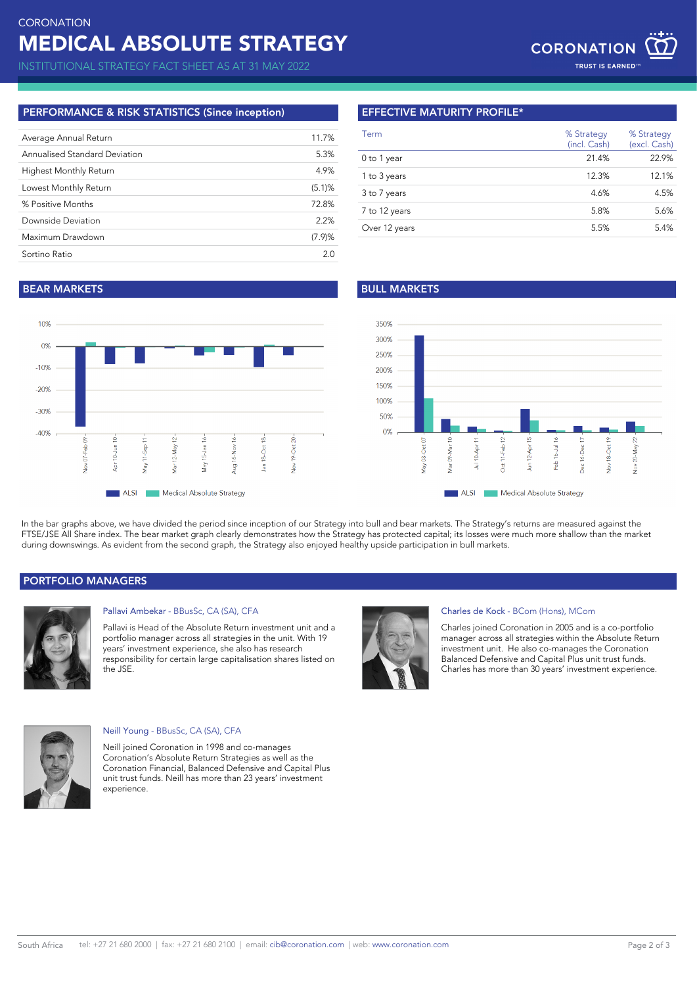INSTITUTIONAL STRATEGY FACT SHEET AS AT 31 MAY 2022

# **PERFORMANCE & RISK STATISTICS (Since inception)**

| Average Annual Return         | 11.7%  |
|-------------------------------|--------|
| Annualised Standard Deviation | 5.3%   |
| <b>Highest Monthly Return</b> | 4.9%   |
| Lowest Monthly Return         | (5.1)% |
| % Positive Months             | 72.8%  |
| Downside Deviation            | 2.2%   |
| Maximum Drawdown              | (7.9)% |
| Sortino Ratio                 | 20     |
|                               |        |

# **EFFECTIVE MATURITY PROFILE\***

| Term          | % Strategy<br>(incl. Cash) | % Strategy<br>(excl. Cash) |
|---------------|----------------------------|----------------------------|
| 0 to 1 year   | 21.4%                      | 22.9%                      |
| 1 to 3 years  | 12.3%                      | 12.1%                      |
| 3 to 7 years  | 4.6%                       | 4.5%                       |
| 7 to 12 years | 5.8%                       | 5.6%                       |
| Over 12 years | 5.5%                       | 5.4%                       |

# **BEAR MARKETS BULL MARKETS**





In the bar graphs above, we have divided the period since inception of our Strategy into bull and bear markets. The Strategy's returns are measured against the FTSE/JSE All Share index. The bear market graph clearly demonstrates how the Strategy has protected capital; its losses were much more shallow than the market during downswings. As evident from the second graph, the Strategy also enjoyed healthy upside participation in bull markets.

## **PORTFOLIO MANAGERS**



## Pallavi Ambekar - BBusSc, CA (SA), CFA

Pallavi is Head of the Absolute Return investment unit and a portfolio manager across all strategies in the unit. With 19 years' investment experience, she also has research responsibility for certain large capitalisation shares listed on the JSE.



#### Charles de Kock - BCom (Hons), MCom

Charles joined Coronation in 2005 and is a co-portfolio manager across all strategies within the Absolute Return investment unit. He also co-manages the Coronation Balanced Defensive and Capital Plus unit trust funds. Charles has more than 30 years' investment experience.



#### Neill Young - BBusSc, CA (SA), CFA

Neill joined Coronation in 1998 and co-manages Coronation's Absolute Return Strategies as well as the Coronation Financial, Balanced Defensive and Capital Plus unit trust funds. Neill has more than 23 years' investment experience.